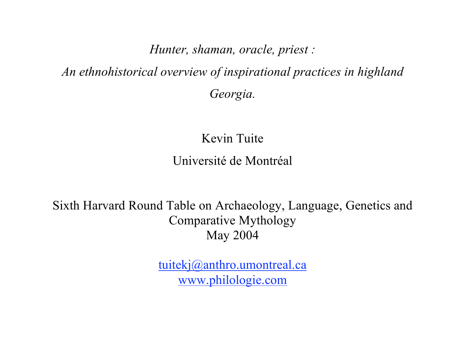*Hunter, shaman, oracle, priest :*

*An ethnohistorical overview of inspirational practices in highland Georgia.*

> Kevin Tuite Université de Montréal

Sixth Harvard Round Table on Archaeology, Language, Genetics and Comparative Mythology May 2004

> tuitekj@anthro.umontreal.ca www.philologie.com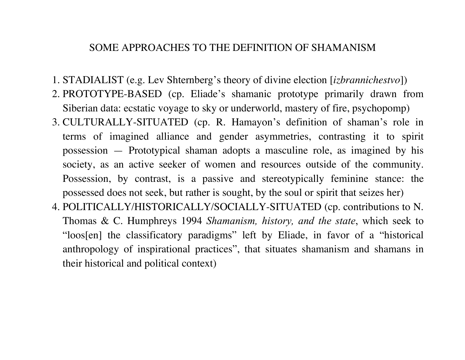#### SOME APPROACHES TO THE DEFINITION OF SHAMANISM

- 1. STADIALIST (e.g. Lev Shternberg's theory of divine election [*izbrannichestvo*])
- 2. PROTOTYPE-BASED (cp. Eliade's shamanic prototype primarily drawn from Siberian data: ecstatic voyage to sky or underworld, mastery of fire, psychopomp)
- 3. CULTURALLY-SITUATED (cp. R. Hamayon's definition of shaman's role in terms of imagined alliance and gender asymmetries, contrasting it to spirit possession — Prototypical shaman adopts a masculine role, as imagined by his society, as an active seeker of women and resources outside of the community. Possession, by contrast, is a passive and stereotypically feminine stance: the possessed does not seek, but rather is sought, by the soul or spirit that seizes her)
- 4. POLITICALLY/HISTORICALLY/SOCIALLY-SITUATED (cp. contributions to N. Thomas & C. Humphreys 1994 *Shamanism, history, and the state*, which seek to "loos[en] the classificatory paradigms" left by Eliade, in favor of a "historical anthropology of inspirational practices", that situates shamanism and shamans in their historical and political context)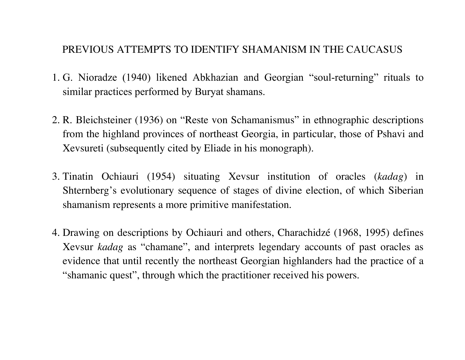### PREVIOUS ATTEMPTS TO IDENTIFY SHAMANISM IN THE CAUCASUS

- 1. G. Nioradze (1940) likened Abkhazian and Georgian "soul-returning" rituals to similar practices performed by Buryat shamans.
- 2. R. Bleichsteiner (1936) on "Reste von Schamanismus" in ethnographic descriptions from the highland provinces of northeast Georgia, in particular, those of Pshavi and Xevsureti (subsequently cited by Eliade in his monograph).
- 3. Tinatin Ochiauri (1954) situating Xevsur institution of oracles (*kadag*) in Shternberg's evolutionary sequence of stages of divine election, of which Siberian shamanism represents a more primitive manifestation.
- 4. Drawing on descriptions by Ochiauri and others, Charachidzé (1968, 1995) defines Xevsur *kadag* as "chamane", and interprets legendary accounts of past oracles as evidence that until recently the northeast Georgian highlanders had the practice of a "shamanic quest", through which the practitioner received his powers.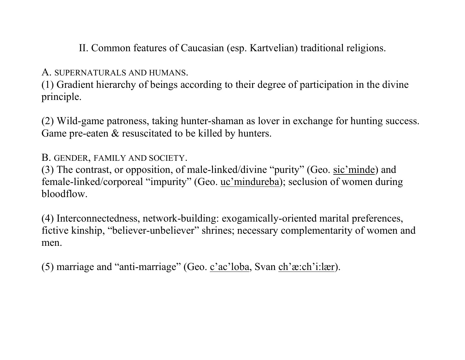II. Common features of Caucasian (esp. Kartvelian) traditional religions.

A. SUPERNATURALS AND HUMANS.

(1) Gradient hierarchy of beings according to their degree of participation in the divine principle.

(2) Wild-game patroness, taking hunter-shaman as lover in exchange for hunting success. Game pre-eaten  $&$  resuscitated to be killed by hunters.

B. GENDER, FAMILY AND SOCIETY.

(3) The contrast, or opposition, of male-linked/divine "purity" (Geo. sic'minde) and female-linked/corporeal "impurity" (Geo. uc'mindureba); seclusion of women during bloodflow.

(4) Interconnectedness, network-building: exogamically-oriented marital preferences, fictive kinship, "believer-unbeliever" shrines; necessary complementarity of women and men.

(5) marriage and "anti-marriage" (Geo.  $\frac{c \cdot ac \cdot l \cdot b \cdot a}{c \cdot c \cdot b \cdot c}$ .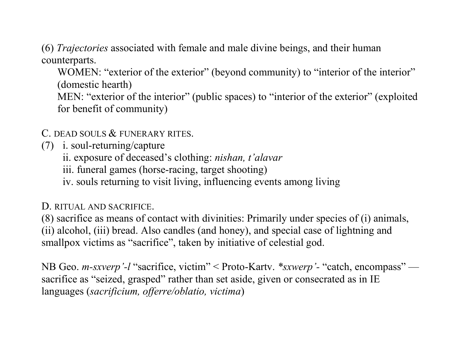(6) *Trajectories* associated with female and male divine beings, and their human counterparts.

WOMEN: "exterior of the exterior" (beyond community) to "interior of the interior" (domestic hearth)

MEN: "exterior of the interior" (public spaces) to "interior of the exterior" (exploited for benefit of community)

C. DEAD SOULS & FUNERARY RITES.

(7) i. soul-returning/capture

ii. exposure of deceased's clothing: *nishan, t'alavar*

iii. funeral games (horse-racing, target shooting)

iv. souls returning to visit living, influencing events among living

D. RITUAL AND SACRIFICE.

(8) sacrifice as means of contact with divinities: Primarily under species of (i) animals, (ii) alcohol, (iii) bread. Also candles (and honey), and special case of lightning and smallpox victims as "sacrifice", taken by initiative of celestial god.

NB Geo. *m-sxverp'-l* "sacrifice, victim" < Proto-Kartv. *\*sxwerp'-* "catch, encompass" sacrifice as "seized, grasped" rather than set aside, given or consecrated as in IE languages (*sacrificium, offerre/oblatio, victima*)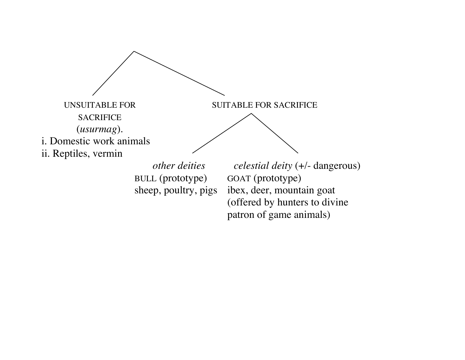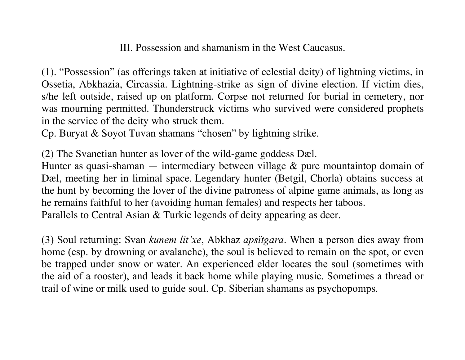III. Possession and shamanism in the West Caucasus.

(1). "Possession" (as offerings taken at initiative of celestial deity) of lightning victims, in Ossetia, Abkhazia, Circassia. Lightning-strike as sign of divine election. If victim dies, s/he left outside, raised up on platform. Corpse not returned for burial in cemetery, nor was mourning permitted. Thunderstruck victims who survived were considered prophets in the service of the deity who struck them.

Cp. Buryat & Soyot Tuvan shamans "chosen" by lightning strike.

(2) The Svanetian hunter as lover of the wild-game goddess Dæl.

Hunter as quasi-shaman  $-$  intermediary between village  $\&$  pure mountaintop domain of Dæl, meeting her in liminal space. Legendary hunter (Betgil, Chorla) obtains success at the hunt by becoming the lover of the divine patroness of alpine game animals, as long as he remains faithful to her (avoiding human females) and respects her taboos.

Parallels to Central Asian & Turkic legends of deity appearing as deer.

(3) Soul returning: Svan *kunem lit'xe*, Abkhaz *apsïtgara*. When a person dies away from home (esp. by drowning or avalanche), the soul is believed to remain on the spot, or even be trapped under snow or water. An experienced elder locates the soul (sometimes with the aid of a rooster), and leads it back home while playing music. Sometimes a thread or trail of wine or milk used to guide soul. Cp. Siberian shamans as psychopomps.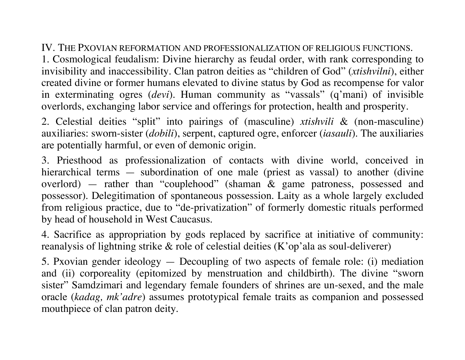### IV. THE PXOVIAN REFORMATION AND PROFESSIONALIZATION OF RELIGIOUS FUNCTIONS.

1. Cosmological feudalism: Divine hierarchy as feudal order, with rank corresponding to invisibility and inaccessibility. Clan patron deities as "children of God" (*xtishvilni*), either created divine or former humans elevated to divine status by God as recompense for valor in exterminating ogres (*devi*). Human community as "vassals" (q'mani) of invisible overlords, exchanging labor service and offerings for protection, health and prosperity.

2. Celestial deities "split" into pairings of (masculine) *xtishvili* & (non-masculine) auxiliaries: sworn-sister (*dobili*), serpent, captured ogre, enforcer (*iasauli*). The auxiliaries are potentially harmful, or even of demonic origin.

3. Priesthood as professionalization of contacts with divine world, conceived in hierarchical terms — subordination of one male (priest as vassal) to another (divine overlord) — rather than "couplehood" (shaman & game patroness, possessed and possessor). Delegitimation of spontaneous possession. Laity as a whole largely excluded from religious practice, due to "de-privatization" of formerly domestic rituals performed by head of household in West Caucasus.

4. Sacrifice as appropriation by gods replaced by sacrifice at initiative of community: reanalysis of lightning strike & role of celestial deities (K'op'ala as soul-deliverer)

5. Pxovian gender ideology — Decoupling of two aspects of female role: (i) mediation and (ii) corporeality (epitomized by menstruation and childbirth). The divine "sworn sister" Samdzimari and legendary female founders of shrines are un-sexed, and the male oracle (*kadag, mk'adre*) assumes prototypical female traits as companion and possessed mouthpiece of clan patron deity.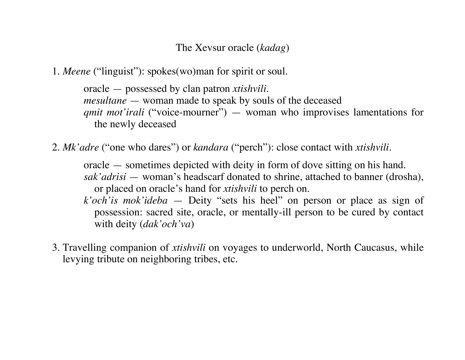## The Xevsur oracle (*kadag*)

1. *Meene* ("linguist"): spokes(wo)man for spirit or soul.

oracle — possessed by clan patron *xtishvili*. *mesultane* — woman made to speak by souls of the deceased *qmit mot'irali* ("voice-mourner") — woman who improvises lamentations for the newly deceased

2. *Mk'adre* ("one who dares") or *kandara* ("perch"): close contact with *xtishvili*.

oracle — sometimes depicted with deity in form of dove sitting on his hand. *sak'adrisi* — woman's headscarf donated to shrine, attached to banner (drosha), or placed on oracle's hand for *xtishvili* to perch on.

*k'och'is mok'ideba* — Deity "sets his heel" on person or place as sign of possession: sacred site, oracle, or mentally-ill person to be cured by contact with deity (*dak'och'va*)

3. Travelling companion of *xtishvili* on voyages to underworld, North Caucasus, while levying tribute on neighboring tribes, etc.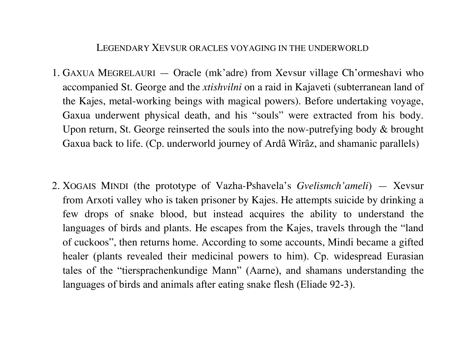#### LEGENDARY XEVSUR ORACLES VOYAGING IN THE UNDERWORLD

- 1. GAXUA MEGRELAURI Oracle (mk'adre) from Xevsur village Ch'ormeshavi who accompanied St. George and the *xtishvilni* on a raid in Kajaveti (subterranean land of the Kajes, metal-working beings with magical powers). Before undertaking voyage, Gaxua underwent physical death, and his "souls" were extracted from his body. Upon return, St. George reinserted the souls into the now-putrefying body & brought Gaxua back to life. (Cp. underworld journey of Ardâ Wîrâz, and shamanic parallels)
- 2. XOGAIS MINDI (the prototype of Vazha-Pshavela's *Gvelismch'ameli*) Xevsur from Arxoti valley who is taken prisoner by Kajes. He attempts suicide by drinking a few drops of snake blood, but instead acquires the ability to understand the languages of birds and plants. He escapes from the Kajes, travels through the "land of cuckoos", then returns home. According to some accounts, Mindi became a gifted healer (plants revealed their medicinal powers to him). Cp. widespread Eurasian tales of the "tiersprachenkundige Mann" (Aarne), and shamans understanding the languages of birds and animals after eating snake flesh (Eliade 92-3).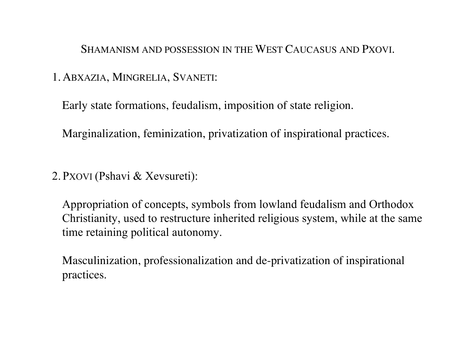SHAMANISM AND POSSESSION IN THE WEST CAUCASUS AND PXOVI.

# 1. ABXAZIA, MINGRELIA, SVANETI:

Early state formations, feudalism, imposition of state religion.

Marginalization, feminization, privatization of inspirational practices.

2. PXOVI (Pshavi & Xevsureti):

Appropriation of concepts, symbols from lowland feudalism and Orthodox Christianity, used to restructure inherited religious system, while at the same time retaining political autonomy.

Masculinization, professionalization and de-privatization of inspirational practices.